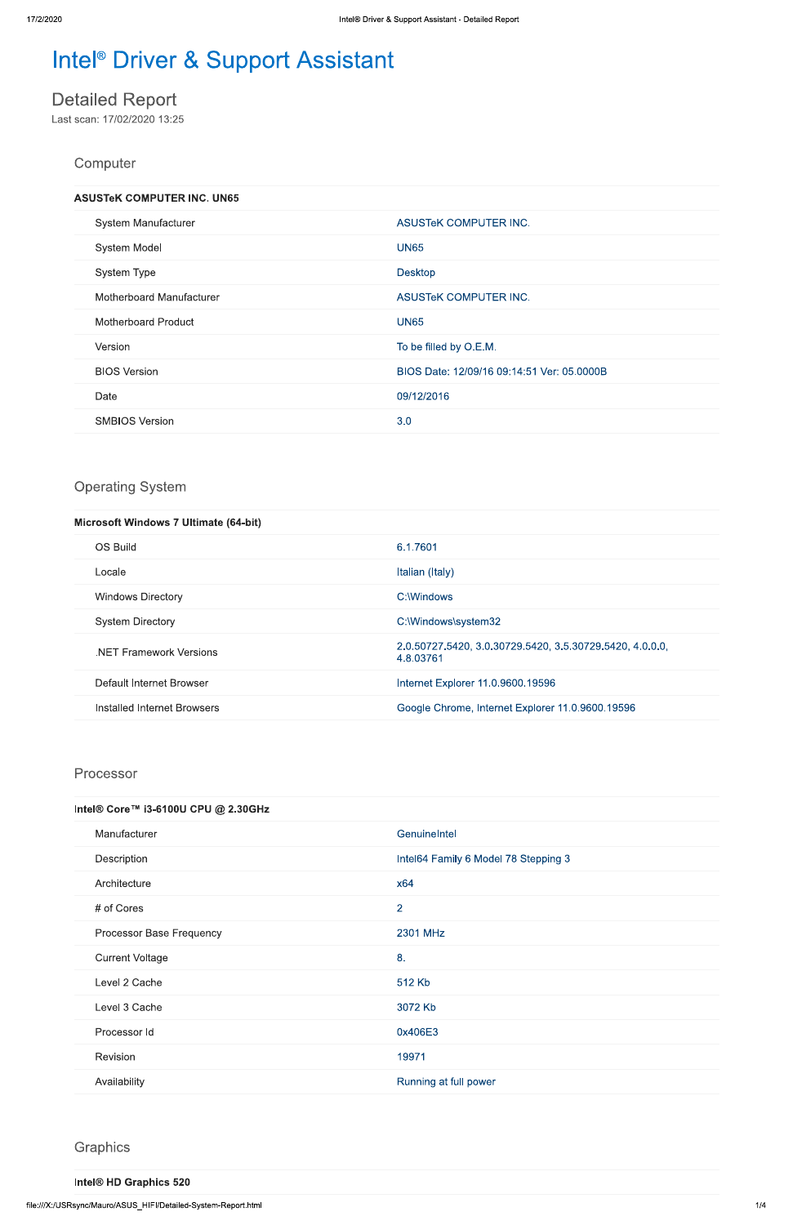# Intel<sup>®</sup> Driver & Support Assistant

# **Detailed Report**

Last scan: 17/02/2020 13:25

## Computer

| <b>ASUSTeK COMPUTER INC. UN65</b> |                                            |
|-----------------------------------|--------------------------------------------|
| System Manufacturer               | <b>ASUSTEK COMPUTER INC.</b>               |
| <b>System Model</b>               | <b>UN65</b>                                |
| System Type                       | <b>Desktop</b>                             |
| Motherboard Manufacturer          | <b>ASUSTEK COMPUTER INC.</b>               |
| Motherboard Product               | <b>UN65</b>                                |
| Version                           | To be filled by O.E.M.                     |
| <b>BIOS Version</b>               | BIOS Date: 12/09/16 09:14:51 Ver: 05.0000B |
| Date                              | 09/12/2016                                 |
| <b>SMBIOS Version</b>             | 3.0                                        |

## **Operating System**

| <b>Microsoft Windows 7 Ultimate (64-bit)</b> |                                                                       |
|----------------------------------------------|-----------------------------------------------------------------------|
| <b>OS Build</b>                              | 6.1.7601                                                              |
| Locale                                       | Italian (Italy)                                                       |
| <b>Windows Directory</b>                     | C:\Windows                                                            |
| <b>System Directory</b>                      | C:\Windows\system32                                                   |
| <b>NET Framework Versions</b>                | 2.0.50727.5420, 3.0.30729.5420, 3.5.30729.5420, 4.0.0.0,<br>4.8.03761 |
| Default Internet Browser                     | Internet Explorer 11.0.9600.19596                                     |
| Installed Internet Browsers                  | Google Chrome, Internet Explorer 11.0.9600.19596                      |

#### Processor

| Intel® Core™ i3-6100U CPU @ 2.30GHz |                                      |
|-------------------------------------|--------------------------------------|
| Manufacturer                        | Genuinelntel                         |
| Description                         | Intel64 Family 6 Model 78 Stepping 3 |
| Architecture                        | x64                                  |

| # of Cores               | 2                     |
|--------------------------|-----------------------|
| Processor Base Frequency | 2301 MHz              |
| <b>Current Voltage</b>   | 8.                    |
| Level 2 Cache            | 512 Kb                |
| Level 3 Cache            | 3072 Kb               |
| Processor Id             | 0x406E3               |
| Revision                 | 19971                 |
| Availability             | Running at full power |

Graphics

Intel® HD Graphics 520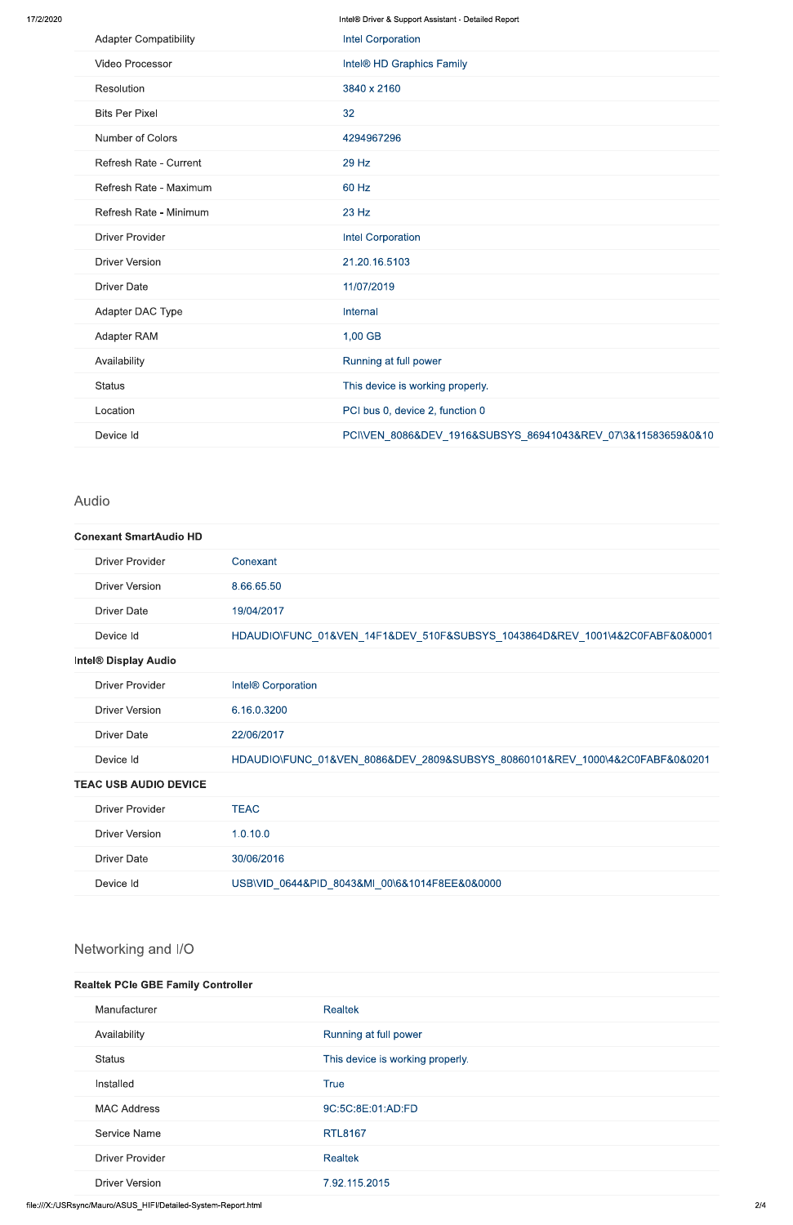Intel® Driver & Support Assistant - Detailed Report

| <b>Adapter Compatibility</b> | <b>Intel Corporation</b>                                     |
|------------------------------|--------------------------------------------------------------|
| Video Processor              | Intel® HD Graphics Family                                    |
| Resolution                   | 3840 x 2160                                                  |
| <b>Bits Per Pixel</b>        | 32                                                           |
| Number of Colors             | 4294967296                                                   |
| Refresh Rate - Current       | 29 Hz                                                        |
| Refresh Rate - Maximum       | 60 Hz                                                        |
| Refresh Rate - Minimum       | 23 Hz                                                        |
| <b>Driver Provider</b>       | <b>Intel Corporation</b>                                     |
| <b>Driver Version</b>        | 21.20.16.5103                                                |
| <b>Driver Date</b>           | 11/07/2019                                                   |
| Adapter DAC Type             | Internal                                                     |
| Adapter RAM                  | 1,00 GB                                                      |
| Availability                 | Running at full power                                        |
| <b>Status</b>                | This device is working properly.                             |
| Location                     | PCI bus 0, device 2, function 0                              |
| Device Id                    | PCI\VEN_8086&DEV_1916&SUBSYS_86941043&REV_07\3&11583659&0&10 |

### Audio

#### **Conexant SmartAudio HD**

| <b>Driver Provider</b>       | Conexant                                                                    |
|------------------------------|-----------------------------------------------------------------------------|
| <b>Driver Version</b>        | 8.66.65.50                                                                  |
| <b>Driver Date</b>           | 19/04/2017                                                                  |
| Device Id                    | HDAUDIO\FUNC_01&VEN_14F1&DEV_510F&SUBSYS_1043864D&REV_1001\4&2C0FABF&0&0001 |
| Intel® Display Audio         |                                                                             |
| <b>Driver Provider</b>       | Intel® Corporation                                                          |
| <b>Driver Version</b>        | 6.16.0.3200                                                                 |
| <b>Driver Date</b>           | 22/06/2017                                                                  |
| Device Id                    | HDAUDIO\FUNC_01&VEN_8086&DEV_2809&SUBSYS_80860101&REV_1000\4&2C0FABF&0&0201 |
| <b>TEAC USB AUDIO DEVICE</b> |                                                                             |
| <b>Driver Provider</b>       | <b>TEAC</b>                                                                 |
| <b>Driver Version</b>        | 1.0.10.0                                                                    |
| <b>Driver Date</b>           | 30/06/2016                                                                  |
| Device Id                    | USB\VID 0644&PID 8043&MI 00\6&1014F8EE&0&0000                               |

## Networking and I/O

#### **Realtek PCIe GBE Family Controller**

| Manufacturer           | <b>Realtek</b>                   |
|------------------------|----------------------------------|
| Availability           | Running at full power            |
| <b>Status</b>          | This device is working properly. |
| Installed              | <b>True</b>                      |
| <b>MAC Address</b>     | 9C:5C:8E:01:AD:FD                |
| Service Name           | <b>RTL8167</b>                   |
| <b>Driver Provider</b> | <b>Realtek</b>                   |
| <b>Driver Version</b>  | 7.92.115.2015                    |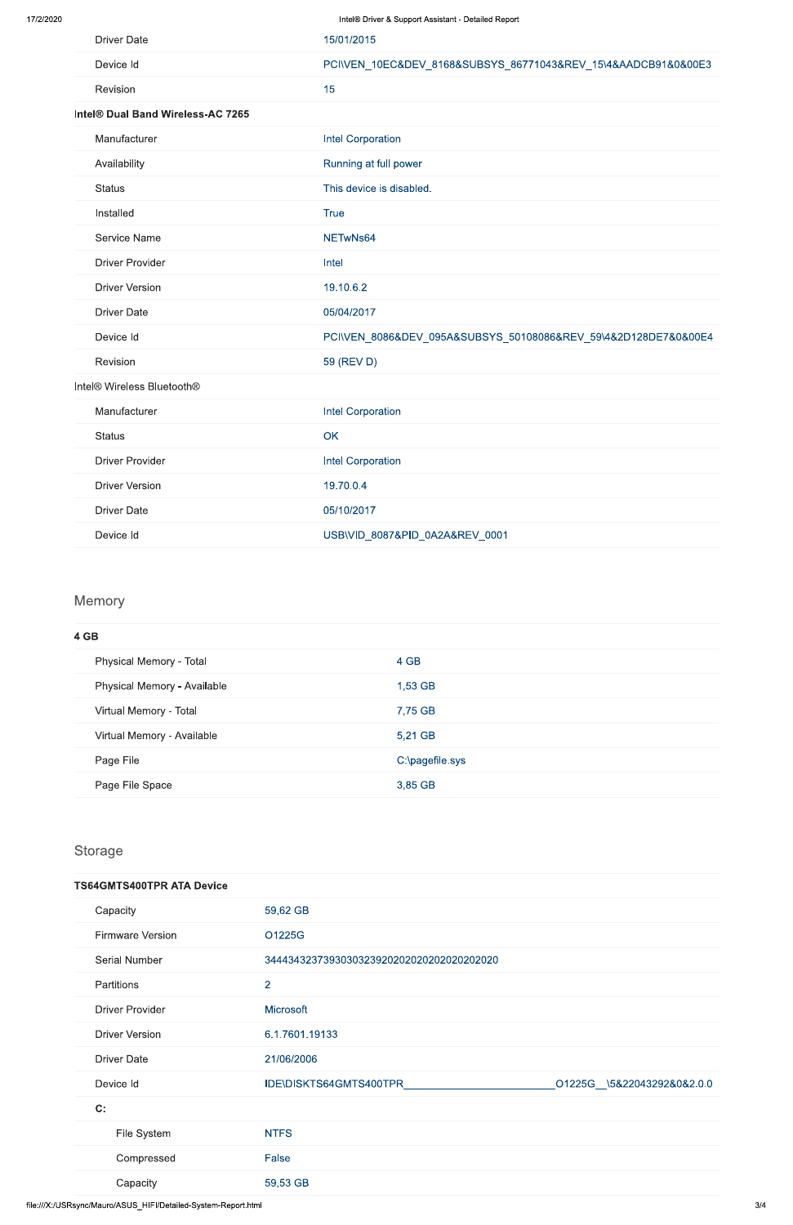| <b>Driver Date</b>                | 15/01/2015                                                     |
|-----------------------------------|----------------------------------------------------------------|
| Device Id                         | PCI\VEN_10EC&DEV_8168&SUBSYS_86771043&REV_15\4&AADCB91&0&00E3  |
| Revision                          | 15                                                             |
| Intel® Dual Band Wireless-AC 7265 |                                                                |
| Manufacturer                      | <b>Intel Corporation</b>                                       |
| Availability                      | Running at full power                                          |
| <b>Status</b>                     | This device is disabled.                                       |
| Installed                         | <b>True</b>                                                    |
| Service Name                      | NETwNs64                                                       |
| <b>Driver Provider</b>            | Intel                                                          |
| <b>Driver Version</b>             | 19.10.6.2                                                      |
| <b>Driver Date</b>                | 05/04/2017                                                     |
| Device Id                         | PCI\VEN_8086&DEV_095A&SUBSYS_50108086&REV_59\4&2D128DE7&0&00E4 |
| Revision                          | 59 (REV D)                                                     |
| Intel® Wireless Bluetooth®        |                                                                |
| Manufacturer                      | <b>Intel Corporation</b>                                       |
| <b>Status</b>                     | OK                                                             |
| <b>Driver Provider</b>            | <b>Intel Corporation</b>                                       |
| <b>Driver Version</b>             | 19.70.0.4                                                      |
| <b>Driver Date</b>                | 05/10/2017                                                     |
| Device Id                         | USB\VID 8087&PID 0A2A&REV 0001                                 |

## Memory

| 4 GB                        |                 |
|-----------------------------|-----------------|
| Physical Memory - Total     | 4 GB            |
| Physical Memory - Available | 1,53 GB         |
| Virtual Memory - Total      | 7,75 GB         |
| Virtual Memory - Available  | 5,21 GB         |
| Page File                   | C:\pagefile.sys |
| Page File Space             | 3,85 GB         |

Storage

| Capacity                | 59,62 GB                                   |                            |
|-------------------------|--------------------------------------------|----------------------------|
| <b>Firmware Version</b> | O1225G                                     |                            |
| Serial Number           | 344434323739303032392020202020202020202020 |                            |
| Partitions              | $\overline{2}$                             |                            |
| <b>Driver Provider</b>  | <b>Microsoft</b>                           |                            |
| <b>Driver Version</b>   | 6.1.7601.19133                             |                            |
| <b>Driver Date</b>      | 21/06/2006                                 |                            |
| Device Id               | IDE\DISKTS64GMTS400TPR                     | O1225G_\5&22043292&0&2.0.0 |
| C:                      |                                            |                            |
| File System             | <b>NTFS</b>                                |                            |
| Compressed              | False                                      |                            |
| Capacity                | 59,53 GB                                   |                            |
|                         |                                            |                            |